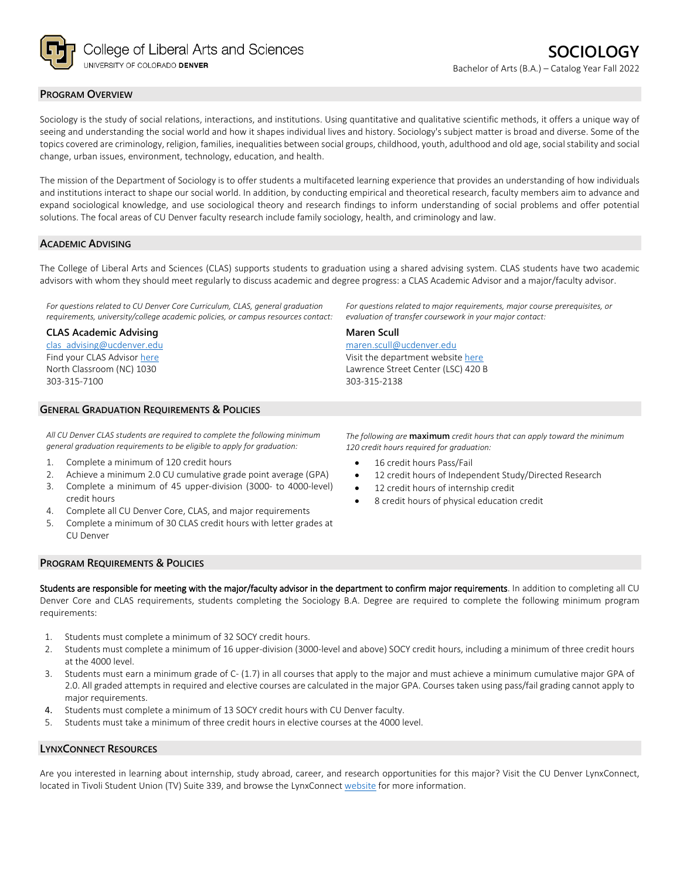

## **PROGRAM OVERVIEW**

Sociology is the study of social relations, interactions, and institutions. Using quantitative and qualitative scientific methods, it offers a unique way of seeing and understanding the social world and how it shapes individual lives and history. Sociology's subject matter is broad and diverse. Some of the topics covered are criminology, religion, families, inequalities between social groups, childhood, youth, adulthood and old age, social stability and social change, urban issues, environment, technology, education, and health.

The mission of the Department of Sociology is to offer students a multifaceted learning experience that provides an understanding of how individuals and institutions interact to shape our social world. In addition, by conducting empirical and theoretical research, faculty members aim to advance and expand sociological knowledge, and use sociological theory and research findings to inform understanding of social problems and offer potential solutions. The focal areas of CU Denver faculty research include family sociology, health, and criminology and law.

## **ACADEMIC ADVISING**

The College of Liberal Arts and Sciences (CLAS) supports students to graduation using a shared advising system. CLAS students have two academic advisors with whom they should meet regularly to discuss academic and degree progress: a CLAS Academic Advisor and a major/faculty advisor.

*For questions related to CU Denver Core Curriculum, CLAS, general graduation requirements, university/college academic policies, or campus resources contact:*

## **CLAS Academic Advising**

[clas\\_advising@ucdenver.edu](mailto:clas_advising@ucdenver.edu) Find your CLAS Adviso[r here](https://clas.ucdenver.edu/advising/) North Classroom (NC) 1030 303-315-7100

# **GENERAL GRADUATION REQUIREMENTS & POLICIES**

*All CU Denver CLAS students are required to complete the following minimum general graduation requirements to be eligible to apply for graduation:*

- 1. Complete a minimum of 120 credit hours
- 2. Achieve a minimum 2.0 CU cumulative grade point average (GPA)
- 3. Complete a minimum of 45 upper-division (3000- to 4000-level) credit hours
- 4. Complete all CU Denver Core, CLAS, and major requirements
- 5. Complete a minimum of 30 CLAS credit hours with letter grades at CU Denver

Visit the department websit[e here](https://clas.ucdenver.edu/sociology/) Lawrence Street Center (LSC) 420 B

*For questions related to major requirements, major course prerequisites, or* 

*evaluation of transfer coursework in your major contact:*

303-315-2138

[maren.scull@ucdenver.edu](mailto:maren.scull@ucdenver.edu) 

**Maren Scull**

*The following are* **maximum** *credit hours that can apply toward the minimum 120 credit hours required for graduation:*

- 16 credit hours Pass/Fail
- 12 credit hours of Independent Study/Directed Research
- 12 credit hours of internship credit
- 8 credit hours of physical education credit

#### **PROGRAM REQUIREMENTS & POLICIES**

Students are responsible for meeting with the major/faculty advisor in the department to confirm major requirements. In addition to completing all CU Denver Core and CLAS requirements, students completing the Sociology B.A. Degree are required to complete the following minimum program requirements:

- 1. Students must complete a minimum of 32 SOCY credit hours.
- 2. Students must complete a minimum of 16 upper-division (3000-level and above) SOCY credit hours, including a minimum of three credit hours at the 4000 level.
- 3. Students must earn a minimum grade of C- (1.7) in all courses that apply to the major and must achieve a minimum cumulative major GPA of 2.0. All graded attempts in required and elective courses are calculated in the major GPA. Courses taken using pass/fail grading cannot apply to major requirements.
- 4. Students must complete a minimum of 13 SOCY credit hours with CU Denver faculty.
- 5. Students must take a minimum of three credit hours in elective courses at the 4000 level.

## **LYNXCONNECT RESOURCES**

Are you interested in learning about internship, study abroad, career, and research opportunities for this major? Visit the CU Denver LynxConnect, located in Tivoli Student Union (TV) Suite 339, and browse the LynxConnec[t website](http://www.ucdenver.edu/lynxconnect/Pages/default.aspx) for more information.